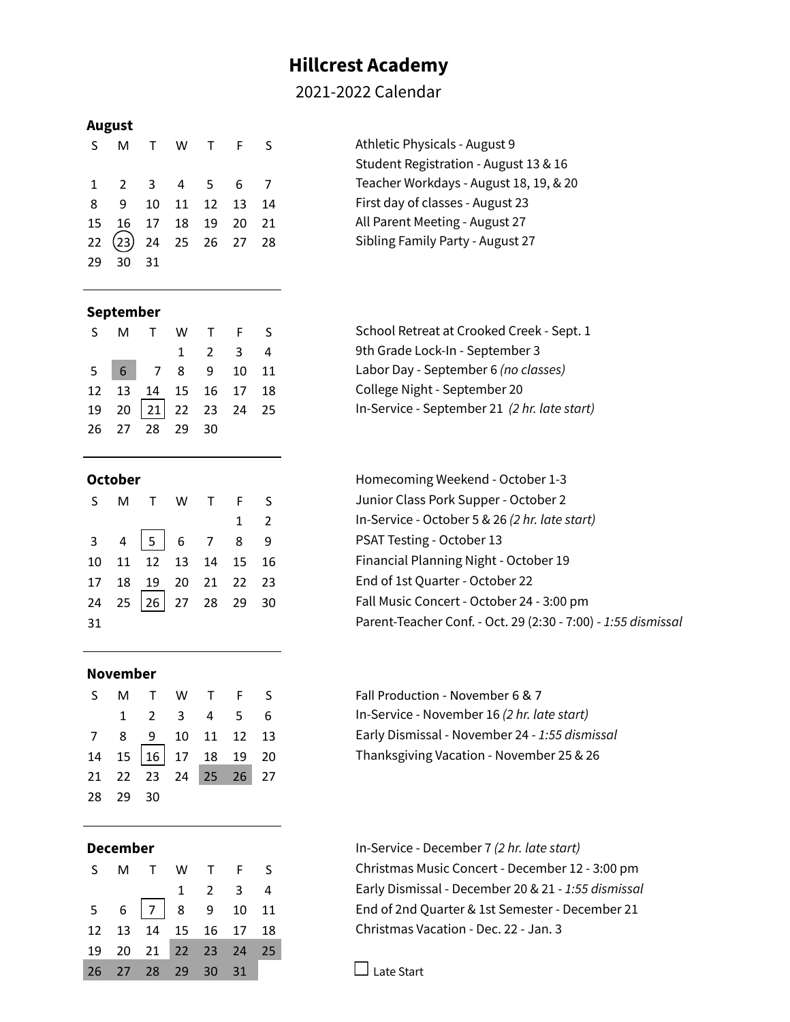# **Hillcrest Academy**

# 2021-2022 Calendar

### **August**

| $\varsigma$ |                                    |      |  | M T W T F S | Athletic Physicals - August 9    |
|-------------|------------------------------------|------|--|-------------|----------------------------------|
|             |                                    |      |  |             | Student Registration - August 13 |
|             | 1 2 3 4 5 6 7                      |      |  |             | Teacher Workdays - August 18, 1  |
|             | 8 9 10 11 12 13 14                 |      |  |             | First day of classes - August 23 |
|             | 15  16  17  18  19  20  21         |      |  |             | All Parent Meeting - August 27   |
|             | $22\left(23\right)$ 24 25 26 27 28 |      |  |             | Sibling Family Party - August 27 |
| 29          | 30                                 | - 31 |  |             |                                  |

| S – | M                     |  | W T F S | Athletic Physicals - August 9          |
|-----|-----------------------|--|---------|----------------------------------------|
|     |                       |  |         | Student Registration - August 13 & 16  |
|     | 1 2 3 4 5 6 7         |  |         | Teacher Workdays - August 18, 19, & 20 |
|     | 8 9 10 11 12 13 14    |  |         | First day of classes - August 23       |
|     | 15 16 17 18 19 20 21  |  |         | All Parent Meeting - August 27         |
|     | 22 23) 24 25 26 27 28 |  |         | Sibling Family Party - August 27       |

## **September**

|  | S M T W T F S              |                             |  |  |
|--|----------------------------|-----------------------------|--|--|
|  |                            | $1 \quad 2 \quad 3 \quad 4$ |  |  |
|  | 5 6 7 8 9 10 11            |                             |  |  |
|  | 12  13  14  15  16  17  18 |                             |  |  |
|  | 19 20 21 22 23 24 25       |                             |  |  |
|  | 26 27 28 29 30             |                             |  |  |

|    | S M T W T F S               |  |             |  |
|----|-----------------------------|--|-------------|--|
|    |                             |  | $1 \quad 2$ |  |
|    | $3 \t4 \t5 \t6 \t7 \t8 \t9$ |  |             |  |
|    | 10 11 12 13 14 15 16        |  |             |  |
|    | 17  18  19  20  21  22  23  |  |             |  |
|    | 24 25 26 27 28 29 30        |  |             |  |
| 31 |                             |  |             |  |

## **November**

|          | S M T W T F S                                |  |  |
|----------|----------------------------------------------|--|--|
|          | $1 \t2 \t3 \t4 \t5 \t6$                      |  |  |
|          | 7 8 9 10 11 12 13                            |  |  |
|          | $14$ $15 \overline{)16}$ $17$ $18$ $19$ $20$ |  |  |
|          | 21 22 23 24 25 26 27                         |  |  |
| 28 29 30 |                                              |  |  |

|  | S M T W T F S                 |                             |  |
|--|-------------------------------|-----------------------------|--|
|  |                               | $1 \quad 2 \quad 3 \quad 4$ |  |
|  | $5 \t6 \t7 \t8 \t9 \t10 \t11$ |                             |  |
|  | 12  13  14  15  16  17  18    |                             |  |
|  | 19 20 21 22 23 24 25          |                             |  |
|  | 26 27 28 29 30 31             |                             |  |

School Retreat at Crooked Creek - Sept. 1 9th Grade Lock-In - September 3 5 6 7 8 9 10 11 Labor Day - September 6 *(no classes)* College Night - September 20 19 20 21 22 23 24 25 In-Service - September 21 *(2 hr. late start)*

**October Contract Contract Contract Contract Contract Contract Contract Contract Contract Contract Contract Contract Contract Contract Contract Contract Contract Contract Contract Contract Contract Contract Contract Cont** Junior Class Pork Supper - October 2 1 2 In-Service - October 5 & 26 *(2 hr. late start)* PSAT Testing - October 13 Financial Planning Night - October 19 End of 1st Quarter - October 22 Fall Music Concert - October 24 - 3:00 pm 31 Parent-Teacher Conf. - Oct. 29 (2:30 - 7:00) - *1:55 dismissal*

> Fall Production - November 6 & 7 1 2 3 4 5 6 In-Service - November 16 *(2 hr. late start)* 7 8 9 10 11 12 13 Early Dismissal - November 24 - *1:55 dismissal* Thanksgiving Vacation - November 25 & 26

**December** In-Service - December 7 *(2 hr. late start)* Christmas Music Concert - December 12 - 3:00 pm 1 2 3 4 Early Dismissal - December 20 & 21 - *1:55 dismissal* End of 2nd Quarter & 1st Semester - December 21 Christmas Vacation - Dec. 22 - Jan. 3

 $\Box$  Late Start